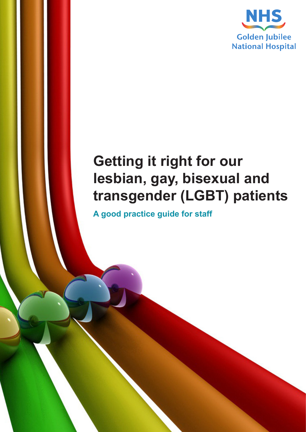

# **Getting it right for our lesbian, gay, bisexual and transgender (LGBT) patients**

**A good practice guide for staff**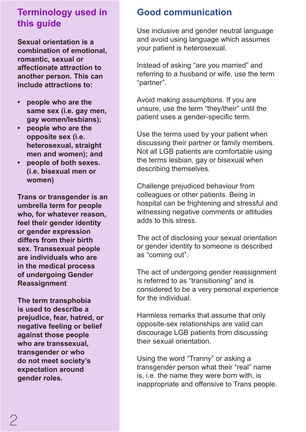## **Terminology used in this guide**

**Sexual orientation is a combination of emotional, romantic, sexual or affectionate attraction to another person. This can include attractions to:**

- **• people who are the same sex (i.e. gay men, gay women/lesbians);**
- **• people who are the opposite sex (i.e. heterosexual, straight men and women); and**
- **• people of both sexes. (i.e. bisexual men or women)**

**Trans or transgender is an umbrella term for people who, for whatever reason, feel their gender identity or gender expression differs from their birth sex. Transsexual people are individuals who are in the medical process of undergoing Gender Reassignment** 

**The term transphobia is used to describe a prejudice, fear, hatred, or negative feeling or belief against those people who are transsexual, transgender or who do not meet society's expectation around gender roles.**

### **Good communication**

Use inclusive and gender neutral language and avoid using language which assumes your patient is heterosexual.

Instead of asking "are you married" and referring to a husband or wife, use the term "partner".

Avoid making assumptions. If you are unsure, use the term "they/their" until the patient uses a gender-specific term.

Use the terms used by your patient when discussing their partner or family members. Not all LGB patients are comfortable using the terms lesbian, gay or bisexual when describing themselves.

Challenge prejudiced behaviour from colleagues or other patients. Being in hospital can be frightening and stressful and witnessing negative comments or attitudes adds to this stress.

The act of disclosing your sexual orientation or gender identity to someone is described as "coming out".

The act of undergoing gender reassignment is referred to as "transitioning" and is considered to be a very personal experience for the individual.

Harmless remarks that assume that only opposite-sex relationships are valid can discourage LGB patients from discussing their sexual orientation.

Using the word "Tranny" or asking a transgender person what their "real" name is, i.e. the name they were born with, is inappropriate and offensive to Trans people.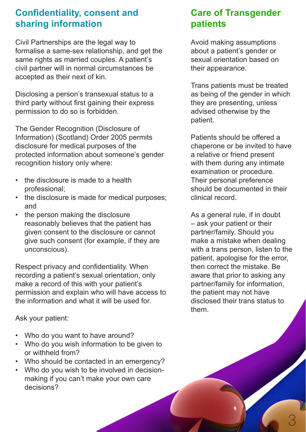#### **Confidentiality, consent and sharing information**

Civil Partnerships are the legal way to formalise a same-sex relationship, and get the same rights as married couples. A patient's civil partner will in normal circumstances be accepted as their next of kin.

Disclosing a person's transexual status to a third party without first gaining their express permission to do so is forbidden.

The Gender Recognition (Disclosure of Information) (Scotland) Order 2005 permits disclosure for medical purposes of the protected information about someone's gender recognition history only where:

- the disclosure is made to a health professional;
- the disclosure is made for medical purposes; and
- the person making the disclosure reasonably believes that the patient has given consent to the disclosure or cannot give such consent (for example, if they are unconscious).

Respect privacy and confidentiality. When recording a patient's sexual orientation, only make a record of this with your patient's permission and explain who will have access to the information and what it will be used for.

Ask your patient:

- Who do you want to have around?
- Who do you wish information to be given to or withheld from?
- Who should be contacted in an emergency?
- Who do you wish to be involved in decisionmaking if you can't make your own care decisions?

#### **Care of Transgender patients**

Avoid making assumptions about a patient's gender or sexual orientation based on their appearance.

Trans patients must be treated as being of the gender in which they are presenting, unless advised otherwise by the patient.

Patients should be offered a chaperone or be invited to have a relative or friend present with them during any intimate examination or procedure. Their personal preference should be documented in their clinical record.

As a general rule, if in doubt – ask your patient or their partner/family. Should you make a mistake when dealing with a trans person, listen to the patient, apologise for the error, then correct the mistake. Be aware that prior to asking any partner/family for information, the patient may not have disclosed their trans status to them.

3